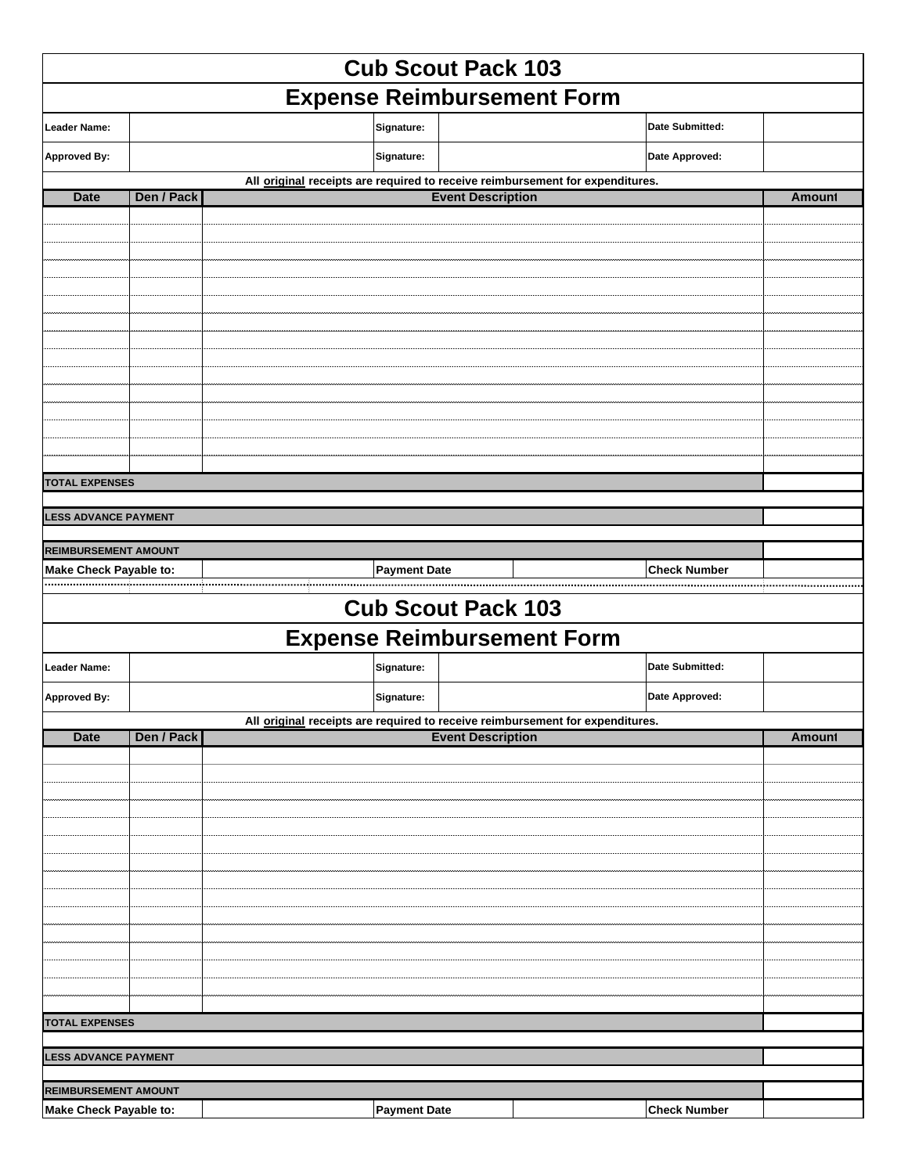| <b>Cub Scout Pack 103</b>     |            |                     |                                                                               |                        |               |  |  |
|-------------------------------|------------|---------------------|-------------------------------------------------------------------------------|------------------------|---------------|--|--|
|                               |            |                     | <b>Expense Reimbursement Form</b>                                             |                        |               |  |  |
| <b>Leader Name:</b>           |            | Signature:          |                                                                               | <b>Date Submitted:</b> |               |  |  |
| <b>Approved By:</b>           |            | Signature:          |                                                                               | Date Approved:         |               |  |  |
|                               |            |                     | All original receipts are required to receive reimbursement for expenditures. |                        |               |  |  |
| <b>Date</b>                   | Den / Pack |                     | <b>Event Description</b>                                                      |                        | <b>Amount</b> |  |  |
|                               |            |                     |                                                                               |                        |               |  |  |
|                               |            |                     |                                                                               |                        |               |  |  |
|                               |            |                     |                                                                               |                        |               |  |  |
|                               |            |                     |                                                                               |                        |               |  |  |
|                               |            |                     |                                                                               |                        |               |  |  |
|                               |            |                     |                                                                               |                        |               |  |  |
|                               |            |                     |                                                                               |                        |               |  |  |
|                               |            |                     |                                                                               |                        |               |  |  |
|                               |            |                     |                                                                               |                        |               |  |  |
|                               |            |                     |                                                                               |                        |               |  |  |
|                               |            |                     |                                                                               |                        |               |  |  |
|                               |            |                     |                                                                               |                        |               |  |  |
| <b>TOTAL EXPENSES</b>         |            |                     |                                                                               |                        |               |  |  |
| <b>LESS ADVANCE PAYMENT</b>   |            |                     |                                                                               |                        |               |  |  |
|                               |            |                     |                                                                               |                        |               |  |  |
| <b>REIMBURSEMENT AMOUNT</b>   |            |                     |                                                                               |                        |               |  |  |
| <b>Make Check Payable to:</b> |            | <b>Payment Date</b> |                                                                               | <b>Check Number</b>    |               |  |  |
|                               |            |                     | <b>Cub Scout Pack 103</b>                                                     |                        |               |  |  |
|                               |            |                     | <b>Expense Reimbursement Form</b>                                             |                        |               |  |  |
| <b>Leader Name:</b>           |            | Signature:          |                                                                               | Date Submitted:        |               |  |  |
| <b>Approved By:</b>           |            | Signature:          |                                                                               | Date Approved:         |               |  |  |
|                               |            |                     | All original receipts are required to receive reimbursement for expenditures. |                        |               |  |  |
| <b>Date</b>                   | Den / Pack |                     | <b>Event Description</b>                                                      |                        | <b>Amount</b> |  |  |
|                               |            |                     |                                                                               |                        |               |  |  |
|                               |            |                     |                                                                               |                        |               |  |  |
|                               |            |                     |                                                                               |                        |               |  |  |
|                               |            |                     |                                                                               |                        |               |  |  |
|                               |            |                     |                                                                               |                        |               |  |  |
|                               |            |                     |                                                                               |                        |               |  |  |
|                               |            |                     |                                                                               |                        |               |  |  |
|                               |            |                     |                                                                               |                        |               |  |  |
|                               |            |                     |                                                                               |                        |               |  |  |
|                               |            |                     |                                                                               |                        |               |  |  |
|                               |            |                     |                                                                               |                        |               |  |  |
|                               |            |                     |                                                                               |                        |               |  |  |
|                               |            |                     |                                                                               |                        |               |  |  |
| <b>TOTAL EXPENSES</b>         |            |                     |                                                                               |                        |               |  |  |
|                               |            |                     |                                                                               |                        |               |  |  |
| <b>LESS ADVANCE PAYMENT</b>   |            |                     |                                                                               |                        |               |  |  |
| <b>REIMBURSEMENT AMOUNT</b>   |            |                     |                                                                               |                        |               |  |  |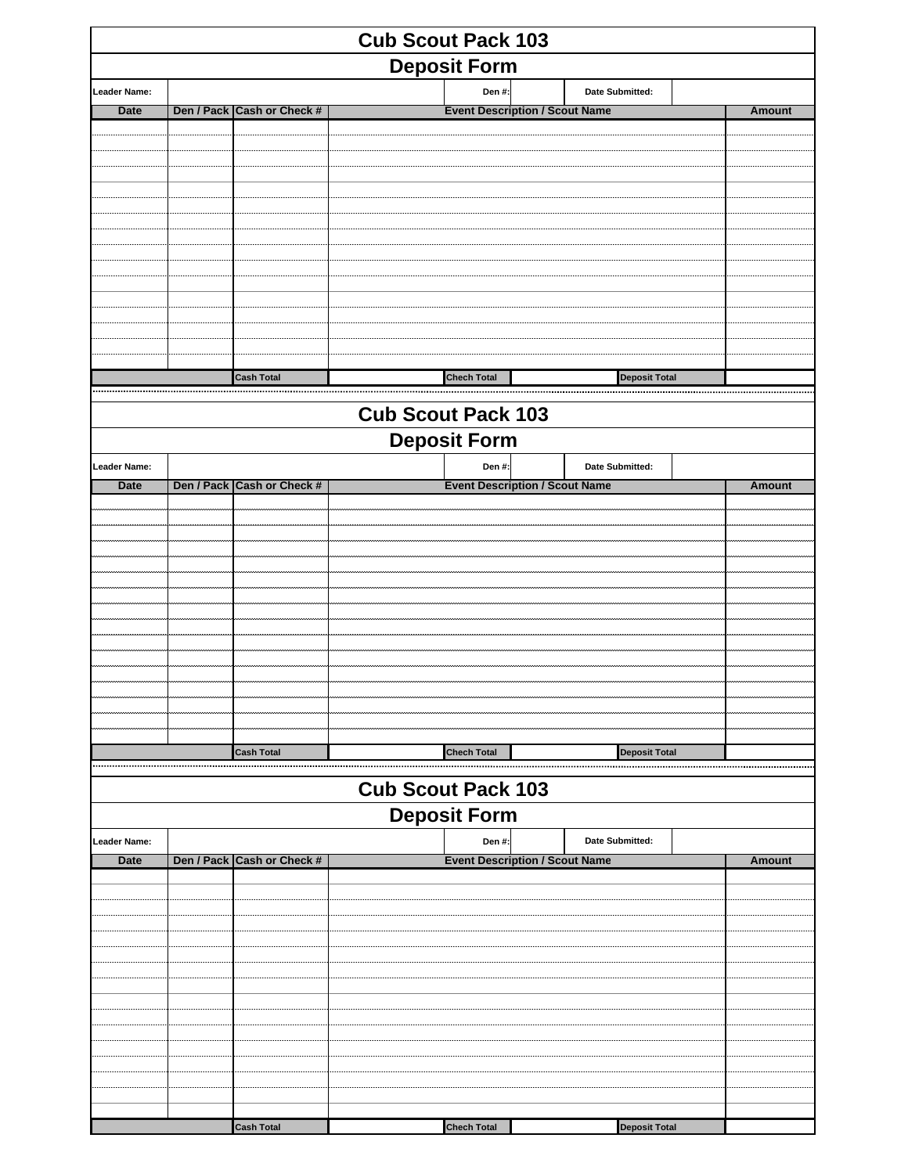| <b>Cub Scout Pack 103</b> |  |                            |                           |                    |                                       |                      |  |               |
|---------------------------|--|----------------------------|---------------------------|--------------------|---------------------------------------|----------------------|--|---------------|
| <b>Deposit Form</b>       |  |                            |                           |                    |                                       |                      |  |               |
| Leader Name:              |  |                            |                           | Den #:             |                                       | Date Submitted:      |  |               |
| Date                      |  | Den / Pack Cash or Check # |                           |                    | <b>Event Description / Scout Name</b> |                      |  | <b>Amount</b> |
|                           |  |                            |                           |                    |                                       |                      |  |               |
|                           |  |                            |                           |                    |                                       |                      |  |               |
|                           |  |                            |                           |                    |                                       |                      |  |               |
|                           |  |                            |                           |                    |                                       |                      |  |               |
|                           |  |                            |                           |                    |                                       |                      |  |               |
|                           |  |                            |                           |                    |                                       |                      |  |               |
|                           |  |                            |                           |                    |                                       |                      |  |               |
|                           |  |                            |                           |                    |                                       |                      |  |               |
|                           |  |                            |                           |                    |                                       |                      |  |               |
|                           |  | <b>Cash Total</b>          |                           | <b>Chech Total</b> |                                       | <b>Deposit Total</b> |  |               |
|                           |  |                            |                           |                    |                                       |                      |  |               |
|                           |  |                            | <b>Cub Scout Pack 103</b> |                    |                                       |                      |  |               |
|                           |  |                            | <b>Deposit Form</b>       |                    |                                       |                      |  |               |
| <b>Leader Name:</b>       |  | Den / Pack Cash or Check # |                           | Den #:             | <b>Event Description / Scout Name</b> | Date Submitted:      |  |               |
| Date                      |  |                            |                           |                    |                                       |                      |  | <b>Amount</b> |
|                           |  |                            |                           |                    |                                       |                      |  |               |
|                           |  |                            |                           |                    |                                       |                      |  |               |
|                           |  |                            |                           |                    |                                       |                      |  |               |
|                           |  |                            |                           |                    |                                       |                      |  |               |
|                           |  |                            |                           |                    |                                       |                      |  |               |
|                           |  |                            |                           |                    |                                       |                      |  |               |
|                           |  |                            |                           |                    |                                       |                      |  |               |
|                           |  |                            |                           |                    |                                       |                      |  |               |
|                           |  |                            |                           |                    |                                       |                      |  |               |
|                           |  | <b>Cash Total</b>          |                           | <b>Chech Total</b> |                                       | <b>Deposit Total</b> |  |               |
|                           |  |                            | <b>Cub Scout Pack 103</b> |                    |                                       |                      |  |               |
|                           |  |                            | <b>Deposit Form</b>       |                    |                                       |                      |  |               |
| <b>Leader Name:</b>       |  |                            |                           | Den #:             |                                       | Date Submitted:      |  |               |
| Date                      |  | Den / Pack Cash or Check # |                           |                    | <b>Event Description / Scout Name</b> |                      |  | <b>Amount</b> |
|                           |  |                            |                           |                    |                                       |                      |  |               |
|                           |  |                            |                           |                    |                                       |                      |  |               |
|                           |  |                            |                           |                    |                                       |                      |  |               |
|                           |  |                            |                           |                    |                                       |                      |  |               |
|                           |  |                            |                           |                    |                                       |                      |  |               |
|                           |  |                            |                           |                    |                                       |                      |  |               |
|                           |  |                            |                           |                    |                                       |                      |  |               |
|                           |  |                            |                           |                    |                                       |                      |  |               |
|                           |  |                            |                           |                    |                                       |                      |  |               |
|                           |  |                            |                           |                    |                                       |                      |  |               |
|                           |  | <b>Cash Total</b>          |                           | <b>Chech Total</b> |                                       | <b>Deposit Total</b> |  |               |